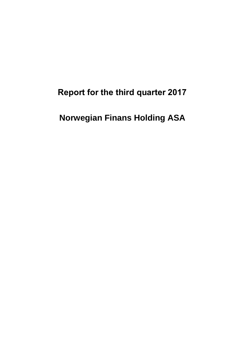**Report for the third quarter 2017**

**Norwegian Finans Holding ASA**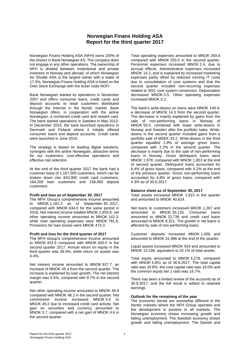# **Norwegian Finans Holding ASA Report for the third quarter 2017**

Norwegian Finans Holding ASA (NFH) owns 100% of the shares in Bank Norwegian AS. The company does not engage in any other operations. The ownership of NFH is divided between institutional and private investors in Norway and abroad, of which Norwegian Air Shuttle ASA is the largest owner with a stake of 17.5%. Norwegian Finans Holding ASA is listed on the Oslo Stock Exchange with the ticker code NOFI.

Bank Norwegian started its operations in November 2007 and offers consumer loans, credit cards and deposit accounts to retail customers distributed through the Internet in the Nordic market. Bank Norwegian offers, in cooperation with the airline Norwegian, a combined credit card and reward card. The bank started operations in Sweden in May 2013. In December 2015, the bank launched operations in Denmark and Finland where it initially offered consumer loans and deposit accounts. Credit cards were launched in June 2016.

The strategy is based on leading digital solutions, synergies with the airline Norwegian, attractive terms for our customers, cost-effective operations and effective risk selection.

At the end of the third quarter 2017 the bank had a customer base of 1,167,000 customers, which can be broken down into 843,900 credit card customers, 164,200 loan customers and 158,900 deposit customers.

### **Profit and loss as of September 30, 2017**

The NFH Group's comprehensive income amounted to MNOK 1,162.3 as of September 30, 2017, compared with MNOK 634.0 for the same period in 2016. Net interest income totalled MNOK 2,655.6, net other operating income amounted to MNOK 142.3, while total operating expenses were MNOK 781.6. Provisions for loan losses were MNOK 473.3.

### **Profit and loss for the third quarter of 2017**

The NFH Group's comprehensive income amounted to MNOK 433.9 compared with MNOK 400.0 in the second quarter 2017. Annual return on equity in the third quarter was 39.0%, while return on assets was 4.4%.

Net interest income amounted to MNOK 937.7, an increase of MNOK 45.4 from the second quarter. The increase is explained by loan growth. The net interest margin was 9.5%, compared with 9.7% in the second quarter.

Net other operating income amounted to MNOK 49.9 compared with MNOK 48.2 in the second quarter. Net commission income increased MNOK 5.6 to MNOK 49.2 due to increased credit card activity. Net gain on securities and currency amounted to MNOK 0.7, compared with a net gain of MNOK 4.6 in the second quarter.

Total operating expenses amounted to MNOK 269.8 compared with MNOK 253.5 in the second quarter. Personnel expenses increased MNOK 2.4, due to accrual effects. Administrative expenses increased MNOK 14.2, and is explained by increased marketing expenses partly offset by reduced running IT costs due to consolidation of core systems and that the second quarter included non-recurring expenses related to SDC core system conversion. Depreciation decreased MNOK 0.5. Other operating expenses increased MNOK 0.2.

The bank's write-downs on loans were MNOK 140.9, a decrease of MNOK 14.3 from the second quarter. The decrease is mainly explained by gains from the sale of non-performing loans in Norway of MNOK 50.0, combined with lower write-downs in Norway and Sweden after the portfolio sales. Writedowns in the second quarter included gains from a portfolio sale of MSEK 43.2. Write-downs in the third quarter equalled 1.9% of average gross loans, compared with 2.2% in the second quarter. The decrease is mainly due to the sale of non-performing loans in Norway. Gross delinquent loans were MNOK 1,978, compared with MNOK 1,853 at the end of second quarter. Delinquent loans accounted for 6.4% of gross loans, compared with 6.2% at the end of the previous quarter. Gross non-performing loans accounted for 4.8% of gross loans, compared with 4.3% as of 30.6.2017.

### **Balance sheet as of September 30, 2017**

Total assets increased MNOK 1,815 in the quarter and amounted to MNOK 40,614.

Net loans to customers increased MNOK 1,267 and amounted to MNOK 30,135. Consumer loans amounted to MNOK 22,739 and credit card loans amounted to MNOK 8,321. The growth in net loans is affected by sale of non-performing loans.

Customer deposits increased MNOK 1,066 and amounted to MNOK 31,988 at the end of the quarter.

Liquid assets increased MNOK 554 and amounted to MNOK 10,196, equivalent to 25.1% of total assets.

Total equity amounted to MNOK 5,278, compared with MNOK 4,851 as of 30.6.2017. The total capital ratio was 20.8%, the core capital ratio was 19.0% and the common equity tier 1 ratio was 16.7%.

There has been a limited review of the accounts as of 30.9.2017, and the full result is added to retained earnings.

### **Outlook for the remaining of the year**

The economic trends are somewhat different in the Nordic markets where the NFH Group operates and the development is positive in all markets. The Norwegian economy shows increasing growth and falling unemployment. The Swedish economy shows growth and falling unemployment. The Danish and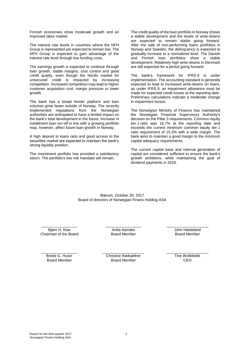Finnish economies show moderate growth and an improved labor market.

The interest rate levels in countries where the NFH Group is represented are expected to remain low. The NFH Group is expected to gain advantage of the interest rate level through low funding costs.

The earnings growth is expected to continue through loan growth, stable margins, cost control and good credit quality, even though the Nordic market for unsecured credit is impacted by increasing competition. Increased competition may lead to higher customer acquisition cost, margin pressure or lower growth.

The bank has a broad Nordic platform and loan volumes grow faster outside of Norway. The recently implemented regulations from the Norwegian authorities are anticipated to have a limited impact on the bank's total development in the future. Increase in installment loan run-off in line with a growing portfolio may, however, affect future loan growth in Norway.

A high deposit to loans ratio and good access to the securities market are expected to maintain the bank's strong liquidity position.

The investment portfolio has provided a satisfactory return. The portfolio's low risk mandate will remain.

The credit quality of the loan portfolio in Norway shows a stable development and the levels of write-downs are expected to remain stable going forward. After the sale of non-performing loans portfolios in Norway and Sweden, the delinquency is expected to gradually increase to a normalized level. The Danish and Finnish loan portfolios show a stable development. Relatively high write-downs in Denmark are still expected for a period going forward.

The bank's framework for IFRS 9 is under implementation. The accounting standard is generally expected to lead to increased write-downs on loans, as under IFRS 9, an impairment allowance must be made for expected credit losses at the reporting date. Preliminary calculations indicate a moderate change in impairment losses.

The Norwegian Ministry of Finance has maintained the Norwegian Financial Supervisory Authority's decision on the Pillar 2-requirements. Common equity tier 1 ratio was 16.7% at the reporting date and exceeds the current minimum common equity tier 1 ratio requirement of 15.3% with a wide margin. The bank aims to maintain a good margin to the minimum capital adequacy requirements.

The current capital base and internal generation of capital are considered sufficient to ensure the bank's growth ambitions, while maintaining the goal of dividend payments in 2018.

Bærum, October 30, 2017 Board of directors of Norwegian Finans Holding ASA

\_\_\_\_\_\_\_\_\_\_\_\_\_\_\_\_\_ Bjørn H. Kise Chairman of the Board  $\_$ Anita Aarnæs Board Member

\_\_\_\_\_\_\_\_\_\_\_\_\_\_\_\_\_\_\_\_ John Høsteland Board Member

\_\_\_\_\_\_\_\_\_\_\_\_\_\_\_\_\_ Brede G. Huser Board Member

\_\_\_\_\_\_\_\_\_\_\_\_\_\_\_\_\_\_\_\_ Christine Rødsæther Board Member

\_\_\_\_\_\_\_\_\_\_\_\_\_\_\_\_\_\_\_\_ Tine Wollebekk C<sub>EO</sub>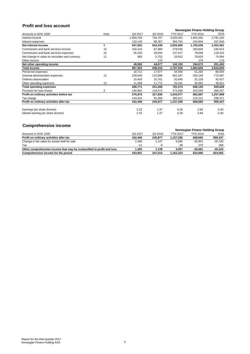# **Profit and loss account**

|                                                |      |           | Norwegian Finans Holding Group |                 |                 |           |
|------------------------------------------------|------|-----------|--------------------------------|-----------------|-----------------|-----------|
| Amounts in NOK 1000                            | Note | Q3 2017   | Q3 2016                        | <b>YTD 2017</b> | <b>YTD 2016</b> | 2016      |
| Interest income                                |      | 1,069,793 | 740,707                        | 3,020,301       | 1,944,491       | 2,791,102 |
| Interest expenses                              |      | 132,140   | 86,367                         | 364,701         | 243,954         | 337,640   |
| Net interest income                            | 9    | 937,653   | 654,339                        | 2,655,600       | 1,700,536       | 2,453,461 |
| Commission and bank services income            | 10   | 104,415   | 67,989                         | 279,035         | 183,845         | 246,613   |
| Commission and bank services expenses          | 10   | 55,250    | 29,834                         | 147,517         | 78,568          | 119,415   |
| Net change in value on securities and currency | 11   | 685       | 5,752                          | 10,812          | 78,626          | 74,064    |
| Other income                                   |      |           | 170                            |                 | 170             | 170       |
| Net other operating income                     |      | 49,850    | 44,077                         | 142,330         | 184,073         | 201,432   |
| Total income                                   |      | 987,503   | 698,416                        | 2,797,930       | 1,884,609       | 2,654,893 |
| Personnel expenses                             |      | 18,711    | 17,977                         | 54,456          | 51,292          | 66,004    |
| General administrative expenses                | 12   | 229,649   | 210,998                        | 661,047         | 550,146         | 773,487   |
| Ordinary depreciation                          |      | 10,403    | 10,761                         | 32,640          | 31,128          | 42,427    |
| Other operating expenses                       | 13   | 11,008    | 11,772                         | 33,431          | 35,562          | 46,911    |
| Total operating expenses                       |      | 269,771   | 251,508                        | 781,574         | 668,128         | 928,828   |
| Provision for loan losses                      | 3    | 140,862   | 119,073                        | 473,280         | 323,594         | 468,257   |
| Profit on ordinary activities before tax       |      | 576,870   | 327,836                        | 1,543,077       | 892,887         | 1,257,808 |
| Tax charge                                     |      | 144,424   | 81,959                         | 385,811         | 223,221         | 298,371   |
| Profit on ordinary activities after tax        |      | 432,446   | 245,877                        | 1,157,266       | 669,665         | 959,437   |
| Earnings per share (kroner)                    |      | 2.32      | 1.37                           | 6.29            | 3.84            | 5.40      |
| Diluted earning per share (kroner)             |      | 2.32      | 1.37                           | 6.29            | 3.84            | 5.40      |

# **Comprehensive income**

| <u>stribi ononon e missino</u>                                         |         |         |                                |                 |           |
|------------------------------------------------------------------------|---------|---------|--------------------------------|-----------------|-----------|
|                                                                        |         |         | Norwegian Finans Holding Group |                 |           |
| Amounts in NOK 1000                                                    | Q3 2017 | Q3 2016 | <b>YTD 2017</b>                | <b>YTD 2016</b> | 2016      |
| Profit on ordinary activities after tax                                | 432.446 | 245.877 | 1.157.266                      | 669.665         | 959,437   |
| Change in fair value for assets held for sale                          | .466    | 1.147   | 5.095                          | $-35.951$       | $-35.700$ |
| Tax                                                                    | $-11$   | -9      | $-38$                          | 270             | 268       |
| Other comprehensive income that may be reclassified to profit and loss | 1.455   | 1.138   | 5.057                          | $-35.681$       | $-35.433$ |
| Comprehensive income for the period                                    | 433.901 | 247.015 | 1.162.323                      | 633.985         | 924.005   |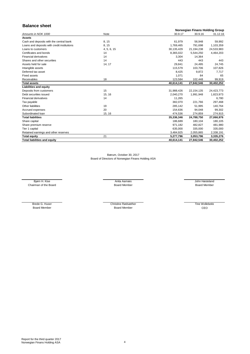# **Balance sheet**

|                                             | Norwegian Finans Holding Group |            |              |            |
|---------------------------------------------|--------------------------------|------------|--------------|------------|
| Amounts in NOK 1000                         | Note                           | 30.9.17    | 30.9.16      | 31.12.16   |
| <b>Assets</b>                               |                                |            |              |            |
| Cash and deposits with the central bank     | 8, 15                          | 61,979     | 56,948       | 59,992     |
| Loans and deposits with credit institutions | 8, 15                          | 1,769,465  | 791,698      | 1,103,359  |
| Loans to customers                          | 4, 5, 6, 15                    | 30,135,429 | 21,194,238   | 24,533,983 |
| Certificates and bonds                      | 14                             | 8,365,022  | 5,544,250    | 4,464,203  |
| <b>Financial derivatives</b>                | 14                             | 3,304      | 14,364       |            |
| Shares and other securities                 | 14                             | 443        | 443          | 443        |
| Assets held for sale                        | 14, 17                         | 29,841     | 24,495       | 24,745     |
| Intangible assets                           |                                | 115,579    | 103,706      | 107,826    |
| Deferred tax asset                          |                                | 8,425      | 9,872        | 7,717      |
| <b>Fixed assets</b>                         |                                | 1,071      | 84           | 65         |
| Receivables                                 | 18                             | 123,584    | 102,448      | 99,919     |
| <b>Total assets</b>                         |                                | 40,614,141 | 27,842,546   | 30,402,252 |
| <b>Liabilities and equity</b>               |                                |            |              |            |
| Deposits from customers                     | 15                             | 31,988,426 | 22, 154, 135 | 24,423,773 |
| Debt securities issued                      | 15, 16                         | 2,040,270  | 1,991,948    | 1,823,973  |
| <b>Financial derivatives</b>                | 14                             | 11,265     |              | 6,780      |
| Tax payable                                 |                                | 382,070    | 221,766      | 297,468    |
| Other liabilities                           | 19                             | 285,142    | 51,995       | 140,764    |
| Accrued expenses                            | 20                             | 154,636    | 94,048       | 99,302     |
| Subordinated loan                           | 15, 16                         | 474,536    | 274,859      | 274,915    |
| <b>Total liabilities</b>                    |                                | 35,336,346 | 24,788,750   | 27,066,976 |
| Share capital                               |                                | 186,689    | 180,104      | 180,105    |
| Share premium reserve                       |                                | 971,182    | 482,827      | 481,980    |
| Tier 1 capital                              |                                | 635,000    | 335,000      | 335,000    |
| Retained earnings and other reserves        |                                | 3,484,925  | 2,055,865    | 2,338,191  |
| <b>Total equity</b>                         | 21                             | 5,277,796  | 3,053,796    | 3,335,276  |
| <b>Total liabilities and equity</b>         |                                | 40,614,141 | 27,842,546   | 30,402,252 |

Bærum, October 30, 2017 Board of Directors of Norwegian Finans Holding ASA

Chairman of the Board Member Board Member Board Member Board Member Board Member Board Member Bjørn H. Kise **Anita Aarnæs** Anita Aarnæs John Høsteland

Board Member

Brede G. Huser Christine Rødsæther Board Member

Tine Wollebekk CEO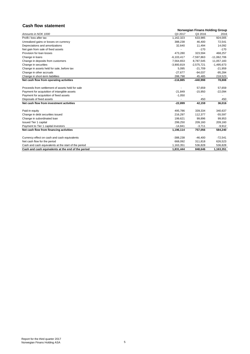# **Cash flow statement**

|                                                      |              | Norwegian Finans Holding Group |               |  |  |  |
|------------------------------------------------------|--------------|--------------------------------|---------------|--|--|--|
| Amounts in NOK 1000                                  | Q3 2017      | Q3 2016                        | 2016          |  |  |  |
| Profit / loss after tax                              | 1,162,323    | 633,985                        | 924,005       |  |  |  |
| Unrealized gains or losses on currency               | 388,238      | 46.400                         | 72,541        |  |  |  |
| Depreciations and amortizations                      | 32,640       | 11,494                         | 14,092        |  |  |  |
| Net gain from sale of fixed assets                   |              | $-170$                         | $-170$        |  |  |  |
| Provision for loan losses                            | 473,280      | 323,594                        | 468,257       |  |  |  |
| Change in loans                                      | $-6,103,417$ | $-7,597,863$                   | $-11,062,706$ |  |  |  |
| Change in deposits from customers                    | 7,564,653    | 8,787,545                      | 11,057,183    |  |  |  |
| Change in securities                                 | $-3,900,819$ | $-2,575,721$                   | $-1,495,673$  |  |  |  |
| Change in assets held for sale, before tax           | 5,095        | $-21,709$                      | $-21,959$     |  |  |  |
| Change in other accruals                             | $-27,677$    | $-94,037$                      | $-95,284$     |  |  |  |
| Change in short-term liabilities                     | 288,798      | 45,485                         | 218,523       |  |  |  |
| Net cash flow from operating activities              | $-116,885$   | -440,998                       | 78,808        |  |  |  |
| Proceeds from settlement of assets held for sale     |              | 57,659                         | 57,659        |  |  |  |
| Payment for acquisition of intangible assets         | $-21,849$    | $-15,950$                      | $-22,094$     |  |  |  |
| Payment for acquisition of fixed assets              | $-1,050$     |                                |               |  |  |  |
| Disposals of fixed assets                            |              | 450                            | 450           |  |  |  |
| Net cash flow from investment activities             | $-22.899$    | 42,159                         | 36,016        |  |  |  |
| Paid-in equity                                       | 495,786      | 339,334                        | 340,637       |  |  |  |
| Change in debt securities issued                     | 216,297      | 112,377                        | $-55,597$     |  |  |  |
| Change in subordinated loan                          | 199,621      | 99,896                         | 99,953        |  |  |  |
| <b>Issued Tier 1 capital</b>                         | 299,250      | 209,160                        | 209,160       |  |  |  |
| Payment to Tier 1 capital investors                  | $-14,841$    | $-3,711$                       | $-9,912$      |  |  |  |
| Net cash flow from financing activities              | 1,196,114    | 757,056                        | 584,240       |  |  |  |
| Currency effect on cash and cash equivalents         | $-388,238$   | $-46,400$                      | $-72,541$     |  |  |  |
| Net cash flow for the period                         | 668,092      | 311,818                        | 626,523       |  |  |  |
| Cash and cash equivalents at the start of the period | 1,163,351    | 536,828                        | 536,828       |  |  |  |
| Cash and cash equivalents at the end of the period   | 1,831,444    | 848.646                        | 1,163,351     |  |  |  |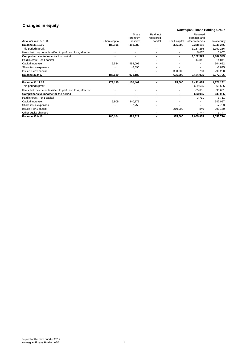# **Changes in equity**

## **Norwegian Finans Holding Group**

|                                                              |                | Share<br>premium | Paid, not<br>registered |                | Retained<br>earnings and |              |
|--------------------------------------------------------------|----------------|------------------|-------------------------|----------------|--------------------------|--------------|
| Amounts in NOK 1000                                          | Share capital  | reserve          | capital                 | Tier 1 capital | other reserves           | Total equity |
| <b>Balance 31.12.16</b>                                      | 180,105        | 481,980          |                         | 335,000        | 2,338,191                | 3,335,276    |
| This period's profit                                         |                |                  |                         |                | 1,157,266                | 1,157,266    |
|                                                              |                |                  |                         |                |                          |              |
| Items that may be reclassified to profit and loss, after tax |                |                  |                         |                | 5,057                    | 5,057        |
| Comprehensive income for the period                          |                |                  |                         |                | 1,162,323                | 1,162,323    |
| Paid interest Tier 1 capital                                 |                |                  |                         |                | $-14,841$                | $-14,841$    |
| Capital increase                                             | 6,584          | 498,098          |                         |                |                          | 504,682      |
| Share issue expenses                                         |                | $-8,895$         |                         |                |                          | $-8,895$     |
| Issued Tier 1 capital                                        |                |                  |                         | 300,000        | $-750$                   | 299,250      |
| <b>Balance 30.9.17</b>                                       | 186,689        | 971,182          | ٠                       | 635,000        | 3,484,925                | 5,277,796    |
|                                                              |                |                  |                         |                |                          |              |
| <b>Balance 31.12.15</b>                                      | 173,195        | 150,402          |                         | 125,000        | 1,422,685                | 1,871,282    |
| This period's profit                                         |                |                  |                         |                | 669,665                  | 669,665      |
| Items that may be reclassified to profit and loss, after tax |                |                  |                         |                | $-35,681$                | $-35,681$    |
| Comprehensive income for the period                          | $\blacksquare$ | $\blacksquare$   | $\blacksquare$          |                | 633,985                  | 633,985      |
| Paid interest Tier 1 capital                                 |                |                  |                         |                | $-3,711$                 | $-3,711$     |
| Capital increase                                             | 6,909          | 340,178          |                         |                |                          | 347,087      |
| Share issue expenses                                         |                | $-7,753$         |                         |                |                          | $-7,753$     |
| Issued Tier 1 capital                                        |                |                  |                         | 210,000        | $-840$                   | 209,160      |
| Other equity changes                                         |                |                  |                         |                | 3,747                    | 3,747        |
| <b>Balance 30.9.16</b>                                       | 180,104        | 482,827          |                         | 335,000        | 2,055,865                | 3,053,796    |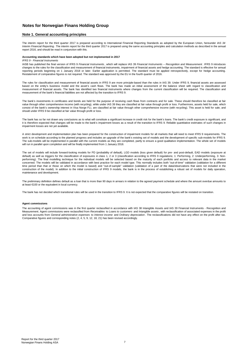### **Note 1. General accounting principles**

The interim report for the third quarter 2017 is prepared according to International Financial Reporting Standards as adopted by the European Union, hereunder *IAS 34 Interim Financial Reporting* . The interim report for the third quarter 2017 is prepared using the same accounting principles and calculation methods as described in the annual report 2016, and should be read in conjunction with this.

#### **Accounting standards which have been adopted but not implemented in 2017**

#### *IFRS 9 - Financial Instruments*

IASB has published the final version of IFRS 9 *Financial Instruments* , which will replace IAS 39 *Financial Instruments – Recognition and Measurement* . IFRS 9 introduces changes to the rules for the classification and measurement of financial instruments, impairment of financial assets and hedge accounting. The standard is effective for annual reporting periods beginning on 1 January 2018 or later. Earlier application is permitted. The standard must be applied retrospectively, except for hedge accounting. Restatement of comparative figures is not required. The standard was approved by the EU in the fourth quarter of 2016.

The rules for classification and measurement of financial assets in IFRS 9 are more principle-based than the rules in IAS 39. Under IFRS 9, financial assets are assessed based on the entity's business model and the asset's cash flows. The bank has made an initial assessment of the balance sheet with regard to classification and measurement of financial assets. The bank has identified two financial instruments where changes from the current classification will be required. The classification and measurement of the bank's financial liabilities are not affected by the transition to IFRS 9.

The bank's investments in certificates and bonds are held for the purpose of receiving cash flows from contracts and for sale. These should therefore be classified at fair value through other comprehensive income (with recycling), while under IAS 39 they are classified at fair value through profit or loss. Furthermore, assets held for sale, which<br>consist of the bank's ownership interest in V should under IFRS 9 be classified at fair value through profit or loss.

The bank has so far not drawn any conclusions as to what will constitute a significant increase in credit risk for the bank's loans. The bank's credit exposure is significant, and it is therefore expected that changes will be made to the bank's impairment losses as a result of the transition to IFRS 9. Reliable quantitative estimates of such changes in impairment losses are not yet available.

A strict development and implementation plan has been prepared for the construction of impairment models for all markets that will need to meet IFRS 9 requirements. The work is on schedule according to the planned progress and includes an upgrade of the bank's existing set of models and the development of specific sub-models for IFRS 9. The sub-models will be implemented in parallel with the current models as they are completed, partly to ensure a good qualitative implementation. The whole set of models will run in parallel upon completion and will be finally implemented from 1 January 2018.

The set of models will include forward-looking models for PD (probability of default), LGD models (loss given default) for pre- and post-default, EAD models (exposure at default) as well as triggers for the classification of exposures in class 1, 2 or 3 (classification according to IFRS 9 regulations; 1: Performing, 2: Underperforming, 3: Nonperforming). The final modelling technique for the individual models will be selected based on the maturity of each portfolio and access to relevant data in the market concerned. The models will be validated in accordance with best practice for each model type. This normally includes both "out-of-time" validation (validation for a different time period than that or those on which the model is based) and "out-of-sample" validation (validation of a part of the data/observations that were not included in the construction of the model). In addition to the initial construction of IFRS 9 models, the bank is in the process of establishing a robust set of models for daily operation, maintenance and development.

The preliminary definition defines default as a loan that is more than 90 days in arrears in relation to the agreed payment schedule and where the amount overdue amounts to at least €100 or the equivalent in local currency.

The bank has not decided which transitional rules will be used in the transition to IFRS 9. It is not expected that the comparative figures will be restated on transition.

#### **Agent commissions**

The accounting of agent commissions was in the first quarter reclassified in accordance with IAS 38 Intangible Assets and IAS 39 Financial Instruments - Recognition and Measurement. Agent commissions were reclassified from *Receivables* to *Loans to customers* and *Intangible assets* , with reclassification of associated expenses in the profit and loss accounts from *General administrative expenses* to *Interest income* and *Ordinary depreciation* . The reclassifications did not have any effect on the profit after tax. Comparative figures and corresponding notes (2, 4, 5, 9, 12, 18, 21) has been revised accordingly.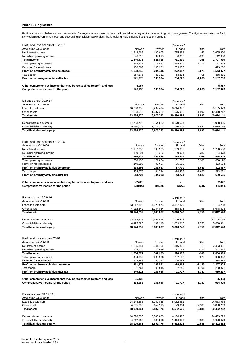## **Note 2. Segments**

Profit and loss and balance sheet presentation for segments are based on internal financial reporting as it is reported to group management. The figures are based on Bank<br>Norwegian's governance model and accounting princip

| Profit and loss account Q3 2017                                        |           |                | Denmark / |          |           |
|------------------------------------------------------------------------|-----------|----------------|-----------|----------|-----------|
| Amounts in NOK 1000                                                    | Norway    | Sweden         | Finland   | Other    | Total     |
| Net interest income                                                    | ,443,668  | 486,005        | 725,884   | 43       | 2,655,600 |
| Net other operating income                                             | 96.810    | 39.813         | 6.006     | $-298$   | 142,330   |
| <b>Total income</b>                                                    | 1.540.478 | 525.818        | 731.890   | $-255$   | 2,797,930 |
| Total operating expenses                                               | 375.431   | 177,982        | 225.846   | 2.316    | 781.574   |
| Provision for loan losses                                              | 136.802   | 103.391        | 233.087   |          | 473.280   |
| Profit on ordinary activities before tax                               | 028.246   | 244.445        | 272.957   | $-2,571$ | 1,543,077 |
| Tax charge                                                             | 257.173   | 61.111         | 68.235    | $-708$   | 385,811   |
| Profit on ordinary activities after tax                                | 771.073   | 183,334        | 204,722   | $-1,863$ | 1,157,266 |
| Other comprehensive income that may be reclassified to profit and loss | 5.057     | $\blacksquare$ |           | -        | 5.057     |
| Comprehensive income for the period                                    | 776.130   | 183.334        | 204.722   | $-1,863$ | 1.162.323 |

| Balance sheet 30.9.17               |            |           | Denmark /  |                          |            |
|-------------------------------------|------------|-----------|------------|--------------------------|------------|
| Amounts in NOK 1000                 | Norway     | Sweden    | Finland    | Other                    | Total      |
| Loans to customers                  | 16,030,958 | 5,289,494 | 8.814.977  | -                        | 30,135,429 |
| Other assets                        | 7.503.612  | 1,387,289 | 1.575.915  | 11.897                   | 10.478.712 |
| <b>Total assets</b>                 | 23.534.570 | 6,676,783 | 10.390.892 | 11,897                   | 40,614,141 |
| Deposits from customers             | 17.763.796 | 5.554.010 | 8.670.621  | $\overline{\phantom{a}}$ | 31.988.426 |
| Other liabilities and equity        | 5.770.774  | 1.122.773 | 1.720.271  | 11.897                   | 8,625,715  |
| <b>Total liabilities and equity</b> | 23.534.570 | 6,676,783 | 10.390.892 | 11.897                   | 40.614.141 |

| Profit and loss account Q3 2016                                        |           |                          | Denmark / |                          |           |
|------------------------------------------------------------------------|-----------|--------------------------|-----------|--------------------------|-----------|
| Amounts in NOK 1000                                                    | Norway    | Sweden                   | Finland   | Other                    | Total     |
| Net interest income                                                    | 1.137.633 | 393.205                  | 169.685   | 12                       | 1.700.536 |
| Net other operating income                                             | 159.201   | 15.232                   | 9.921     | $-282$                   | 184,073   |
| <b>Total income</b>                                                    | 1.296.834 | 408.438                  | 179.607   | $-269$                   | 884,609   |
| Total operating expenses                                               | 338.138   | 171.874                  | 151.737   | 6,380                    | 668,128   |
| Provision for loan losses                                              | 140.398   | 97.627                   | 85.569    |                          | 323,594   |
| Profit on ordinary activities before tax                               | 818.298   | 138.937                  | -57,700   | $-6.649$                 | 892,887   |
| Tax charge                                                             | 204.575   | 34.734                   | $-14.425$ | $-1.662$                 | 223,221   |
| Profit on ordinary activities after tax                                | 613.724   | 104.203                  | $-43.274$ | $-4,987$                 | 669,665   |
| Other comprehensive income that may be reclassified to profit and loss | $-35.681$ | $\overline{\phantom{0}}$ |           | $\overline{\phantom{a}}$ | $-35.681$ |
| Comprehensive income for the period                                    | 578.043   | 104.203                  | $-43.274$ | $-4.987$                 | 633,985   |

| Balance sheet 30.9.16               |            | Denmark / |           |                          |            |  |  |  |
|-------------------------------------|------------|-----------|-----------|--------------------------|------------|--|--|--|
| Amounts in NOK 1000                 | Norway     | Sweden    | Finland   | Other                    | Total      |  |  |  |
| Loans to customers                  | 13,212,396 | 4,623,973 | 3,357,870 |                          | 21,194,238 |  |  |  |
| Other assets                        | 4,912,342  | 1,264,834 | 458,376   | 12,756                   | 6,648,308  |  |  |  |
| <b>Total assets</b>                 | 18.124.737 | 5.888.807 | 3.816.246 | 12.756                   | 27,842,546 |  |  |  |
| Deposits from customers             | 13.698.817 | 5.698.888 | 2.756.429 | $\overline{\phantom{a}}$ | 22,154,135 |  |  |  |
| Other liabilities and equity        | 4.425.920  | 189,918   | 1.059.817 | 12,756                   | 5,688,411  |  |  |  |
| <b>Total liabilities and equity</b> | 18.124.737 | 5,888,807 | 3.816.246 | 12.756                   | 27.842.546 |  |  |  |

| Profit and loss account 2016                                           |           |         | Denmark / |          |           |
|------------------------------------------------------------------------|-----------|---------|-----------|----------|-----------|
| Amounts in NOK 1000                                                    | Norway    | Sweden  | Finland   | Other    | Total     |
| Net interest income                                                    | .595.344  | 541.796 | 316,306   | 15       | 2.453.461 |
| Net other operating income                                             | 169.526   | 20.439  | 11.789    | $-323$   | 201,432   |
| <b>Total income</b>                                                    | 1.764.871 | 562.235 | 328.096   | -308     | 2,654,893 |
| Total operating expenses                                               | 454.939   | 239.906 | 227.108   | 6,875    | 928,828   |
| Provision for loan losses                                              | 198.553   | 139.747 | 129.957   |          | 468,257   |
| Profit on ordinary activities before tax                               | 1.111.379 | 182.581 | $-28.969$ | $-7.183$ | 1,257,808 |
| Tax charge                                                             | 261.764   | 45.645  | $-7.243$  | $-1.796$ | 298.371   |
| Profit on ordinary activities after tax                                | 849.615   | 136.936 | $-21,727$ | $-5,387$ | 959,437   |
| Other comprehensive income that may be reclassified to profit and loss | $-35.433$ |         |           |          | $-35.433$ |
| Comprehensive income for the period                                    | 814.182   | 136.936 | $-21.727$ | $-5,387$ | 924.005   |

| Balance sheet 31.12.16              |            |           | Denmark / |                          |            |
|-------------------------------------|------------|-----------|-----------|--------------------------|------------|
| Amounts in NOK 1000                 | Norway     | Sweden    | Finland   | Other                    | Total      |
| Loans to customers                  | 14.243.563 | 5,237,858 | 5,052,562 | -                        | 24,533,983 |
| Other assets                        | 4.665.798  | 659,918   | 529.964   | 12.588                   | 5.868.269  |
| <b>Total assets</b>                 | 18.909.361 | 5,897,776 | 5.582.526 | 12.588                   | 30,402,252 |
|                                     |            |           |           |                          |            |
| Deposits from customers             | 14.696.396 | 5,560,880 | 4,166,497 | $\overline{\phantom{a}}$ | 24,423,773 |
| Other liabilities and equity        | 4.212.965  | 336,896   | 1.416.029 | 12,588                   | 5.978.479  |
| <b>Total liabilities and equity</b> | 18.909.361 | 5,897,776 | 5.582.526 | 12.588                   | 30,402,252 |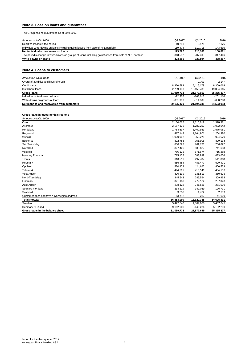## **Note 3. Loss on loans and guarantees**

The Group has no guarantees as at 30.9.2017.

| Amounts in NOK 1000                                                                                     | Q3 2017 | Q3 2016 | 2016    |
|---------------------------------------------------------------------------------------------------------|---------|---------|---------|
| Realized losses in the period                                                                           | 10.253  | 5.471   | 7.176   |
| Individual write-downs on loans including gains/losses from sale of NPL portfolio                       | 119.474 | 110.715 | 143.635 |
| Net individual write-downs on loans                                                                     | 129.727 | 116.186 | 150.811 |
| The period's change in write-downs on groups of loans including gains/losses from sale of NPL portfolio | 343.552 | 207.408 | 317.446 |
| Write-downs on loans                                                                                    | 473.280 | 323.594 | 468.257 |

## **Note 4. Loans to customers**

| Amounts in NOK 1000                         | Q3 2017    | Q3 2016    | 2016       |
|---------------------------------------------|------------|------------|------------|
| Overdraft facilities and lines of credit    |            | 2.701      | 2.147      |
| Credit cards                                | 8.320.599  | 5.415.179  | 6.309.014  |
| Instalment loans                            | 22,739,133 | 16.459.780 | 19,054,145 |
| <b>Gross loans</b>                          | 31.059.732 | 21.877.659 | 25.365.307 |
| Individual write-downs on loans             | $-72.305$  | $-168.613$ | $-201.116$ |
| Write-downs on groups of loans              | $-851.998$ | $-514.809$ | $-630.208$ |
| Net loans to and receivables from customers | 30.135.429 | 21.194.238 | 24.533.983 |

## **Gross loans by geographical regions**

| Amounts in NOK 1000                        | Q3 2017    | Q3 2016    | 2016       |
|--------------------------------------------|------------|------------|------------|
| Oslo                                       | 2,164,065  | 1,816,812  | 1,920,981  |
| Akershus                                   | 2,157,120  | 1,787,257  | 1,902,542  |
| Hordaland                                  | 1,784,597  | 1,460,983  | 1,575,081  |
| Rogaland                                   | 1,417,148  | 1,164,801  | 1,264,380  |
| Østfold                                    | 1,020,962  | 859,271    | 924,670    |
| <b>Buskerud</b>                            | 892,753    | 751,906    | 809,134    |
| Sør-Trøndelag                              | 850,328    | 701,731    | 756,027    |
| Nordland                                   | 827,426    | 688,887    | 741,603    |
| Vestfold                                   | 786,125    | 671,674    | 715,268    |
| Møre og Romsdal                            | 715,152    | 583,999    | 633,056    |
| Troms                                      | 610,511    | 497,787    | 541,868    |
| Hedmark                                    | 556,454    | 483.477    | 520,471    |
| Oppland                                    | 520,472    | 424,625    | 466,573    |
| Telemark                                   | 494,561    | 413,141    | 454,156    |
| Vest-Agder                                 | 420,199    | 331,513    | 360,625    |
| Nord-Trøndelag                             | 345,543    | 286,594    | 309,964    |
| Finnmark                                   | 321,181    | 272,182    | 297,023    |
| Aust-Agder                                 | 298,122    | 241,636    | 261,529    |
| Sogn og Fjordane                           | 214,229    | 182,039    | 196,711    |
| Svalbard                                   | 3,330      | 1,782      | 2,739      |
| Customer does not have a Norwegian address | 53,712     | 237        | 41,029     |
| <b>Total Norway</b>                        | 16,453,990 | 13,622,335 | 14,695,431 |
| Sweden                                     | 5,422,842  | 4,809,088  | 5,487,645  |
| Denmark / Finland                          | 9,182,900  | 3,446,236  | 5,182,230  |
| Gross loans in the balance sheet           | 31.059.732 | 21.877.659 | 25,365,307 |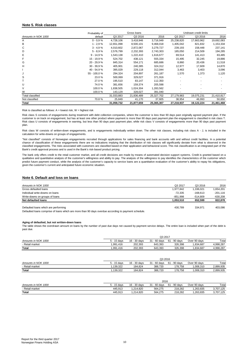### **Note 5. Risk classes**

|                         | Probability of |            | Gross loans |            |            | Undrawn credit limits |            |
|-------------------------|----------------|------------|-------------|------------|------------|-----------------------|------------|
| Amounts in NOK 1000     | default        | Q3 2017    | Q3 2016     | 2016       | Q3 2017    | Q3 2016               | 2016       |
| Α                       | $0 - 0.9 %$    | 4,728,106  | 3,418,946   | 3,716,949  | 25,238,820 | 17,663,962            | 19,692,083 |
| B                       | $1 - 2.9%$     | 12,651,098 | 8,500,101   | 9,468,018  | 1,405,042  | 821,832               | 1,153,334  |
| С                       | $3 - 4.9%$     | 4,010,602  | 2,872,067   | 3,279,727  | 239,193    | 158,448               | 237,141    |
| D                       | $5 - 8.9%$     | 2,576,799  | 2,232,393   | 2,743,303  | 185,050    | 214,509               | 194,285    |
| E                       | $9 - 14.9%$    | 1,543,138  | 1,222,410   | 1,616,677  | 69,514     | 141,413               | 83,485     |
| F                       | 15 - 19,9 %    | 524,702    | 438,121     | 555,334    | 15,495     | 32,245                | 19,886     |
| G                       | 20 - 29,9%     | 845,314    | 554,171     | 685,686    | 8,860      | 20,436                | 11,518     |
| н                       | $30 - 39.9 %$  | 405,901    | 240,385     | 324,312    | 12,977     | 17,609                | 14,870     |
|                         | 40 - 54,9 %    | 395,029    | 229,118     | 312,044    | 3,463      | 3,403                 | 3,096      |
| J                       | 55 - 100,0 %   | 294,324    | 204,897     | 261,187    | 1,570      | 1,373                 | 1,120      |
| S                       | 23.0%          | 500,069    | 329,027     | 371,916    |            |                       |            |
|                         | 27.0%          | 195,510    | 83,147      | 112,350    |            |                       |            |
| U                       | 74.0%          | 381,656    | 159,374     | 205,598    |            |                       |            |
| V                       | 100.0%         | 1,838,505  | 1,024,304   | 1,283,562  |            |                       |            |
| W                       | 100.0%         | 143,129    | 328,027     | 391,040    |            |                       |            |
| <b>Total classified</b> |                | 31,033,883 | 21,836,489  | 25,327,702 | 27,179,983 | 19,075,231            | 21,410,817 |
| Not classified          | 70.8%          | 25,849     | 41,170      | 37,605     | 38,954     | 46,993                | 50,650     |
| Total                   |                | 31,059,732 | 21,877,659  | 25,365,307 | 27,218,937 | 19,122,224            | 21,461,468 |

Risk is classified as follows:  $A =$  lowest risk,  $W =$  highest risk

Risk class S consists of engagements during treatment with debt collection companies, where the customer is less than 90 days past originally agreed payment plan. If the customer is on track on engagement, but has at least one other product where payment is more than 90 days past payment plan the engagement is classified in risk class T. Risk class U consists of engagements in warning, but less than 90 days past payment plan, while risk class V consists of engagements more than 90 days past payment plan.

Risk class W consists of written-down engagements, and is engagements individually written down. The other risk classes, including risk class A - J, is included in the calculation for write-downs on groups of engagements.

"Not classified" consists of Norwegian engagements recruited through applications for sales financing and bank accounts with and without credit facilities. In a potential chance of classification of these engagements there are no indications implying that the distribution of risk classes will significantly deviate from what is observed in the classified engagements. The risks associated with customers are classified based on their application and behavioral score. This risk classification is an integrated part of the Bank's credit approval process and is used in the Bank's risk-based product pricing.

The bank only offers credit to the retail customer market, and all credit decisions are made by means of automated decision support systems. Credit is granted based on a<br>qualitative and quantitative analysis of the custome predict future payment conduct, while the analysis of the customer's capacity to service loans are a quantitative evaluation of the customer's ability to repay his obligations, given the customer's current and anticipated future economic situation.

### **Note 6. Default and loss on loans**

| Amounts in NOK 1000                  | Q3 2017   | Q3 2016    | 2016       |
|--------------------------------------|-----------|------------|------------|
| Gross defaulted loans                | 1,977,842 | 1,336,021  | 1.654.201  |
| Individual write-downs on loans      | -72.335   | $-168.613$ | $-201.116$ |
| Write-downs on groups of loans       | -851.998  | $-514.809$ | -630.208   |
| Net defaulted loans                  | 1.053.510 | 652.599    | 822,878    |
|                                      |           |            |            |
| Defaulted loans which are performing | 430.789   | 334.971    | 403.086    |

Defaulted loans comprise of loans which are more than 90 days overdue according to payment schedule.

#### **Aging of defaulted, but not written-down loans**

The table shows the overdrawn amount on loans by the number of past due days not caused by payment service delays. The entire loan is included when part of the debt is past due.

|                     | Q3 2017     |              |              |              |              |           |
|---------------------|-------------|--------------|--------------|--------------|--------------|-----------|
| Amounts in NOK 1000 | 5 - 15 davs | 16 - 30 days | 31 - 60 davs | 61 - 90 davs | Over 90 days | Total     |
| - Retail market     | 1.991.416   | 202.393      | 643.393      | 326.398      | .834.687     | 4.998.287 |
| <b>Total</b>        | ,991,416    | 202,393      | 643.393      | 326.398      | .834.687     | 4,998,287 |

|                     | Q3 2016     |              |              |                 |              |           |
|---------------------|-------------|--------------|--------------|-----------------|--------------|-----------|
| Amounts in NOK 1000 | 5 - 15 davs | 16 - 30 days | 31 - 60 davs | - 90 davs<br>61 | Over 90 davs | Total     |
| - Retail market     | .139.322    | 184.824      | 388.720      | 178.758         | 008.310      | 2.899.935 |
| <b>Total</b>        | .139.322    | 184.824      | 388.720      | 178.758         | 008.310      | 2.899.935 |

|                     | 2016        |              |              |              |              |           |
|---------------------|-------------|--------------|--------------|--------------|--------------|-----------|
| Amounts in NOK 1000 | 5 - 15 davs | 16 - 30 days | 31 - 60 days | 61 - 90 davs | Over 90 davs | Total     |
| - Retail market     | 445.913     | .214.820     | 564.275      | 218.282      | .263.835     | 3.707.125 |
| <b>Total</b>        | 445.913     | 1.214.820    | 564.275      | 218.282      | .263.835     | 3.707.125 |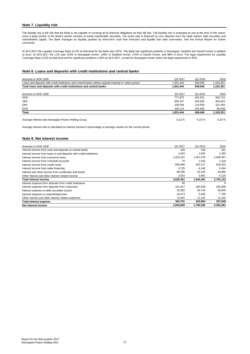## **Note 7. Liquidity risk**

The liquidity risk is the risk that the Bank is not capable of covering all its financial obligations as they fall due. The liquidity risk is evaluated as low at the time of this report, since a large portion of the Bank's assets consists of easily transferable securities. The asset side is financed by core deposits from the retail market, debt securities and<br>subordinated capital. The Bank manages its liqu comments.

At 30.9.2017 the Liquidity Coverage Ratio (LCR) at total level for the Bank was 187%. The Bank has significant positions in Norwegian, Swedish and Danish kroner in addition<br>to Euro. At 30.9.2017 the LCR was 215% in Norwegi Coverage Ratio (LCR) at total level and for significant positions is 80% at 30.9.2017, except for Norwegian kroner where the legal requirement is 50%.

## **Note 8. Loans and deposits with credit institutions and central banks**

| Amounts in NOK 1000                                                                                    | Q3 2017   | Q3 2016 | 2016      |
|--------------------------------------------------------------------------------------------------------|-----------|---------|-----------|
| Loans and deposits with credit institutions and central banks without agreed maturity or notice period | 1.831.444 | 848.646 | 1,163,351 |
| Total loans and deposits with credit institutions and central banks                                    | 1.831.444 | 848.646 | 1,163,351 |
|                                                                                                        |           |         |           |
| Amounts in NOK 1000                                                                                    | Q3 2017   | Q3 2016 | 2016      |
| <b>NOK</b>                                                                                             | 777.675   | 301.551 | 540.723   |
| <b>SEK</b>                                                                                             | 600.107   | 330.926 | 404.624   |
| <b>DKK</b>                                                                                             | 108.548   | 114.564 | 151.464   |
| <b>EUR</b>                                                                                             | 345.114   | 101.605 | 66,539    |
| Total                                                                                                  | 1,831,444 | 848.646 | 1,163,351 |
| Average interest rate Norwegian Finans Holding Group                                                   | 0.22%     | 0.23%   | 0.20%     |

Average interest rate is calculated as interest amount in percentage of average volume for the current period.

### **Note 9. Net interest income**

| Amounts in NOK 1000                                                 | Q3 2017   | Q3 2016   | 2016      |
|---------------------------------------------------------------------|-----------|-----------|-----------|
| Interest income from cash and deposits at central banks             | 228       | 248       | 321       |
| Interest income from loans to and deposits with credit institutions | 2.033     | 1.052     | 1,393     |
| Interest income from consumer loans                                 | 2,253,321 | 1,457,476 | 2,095,457 |
| Interest income from overdraft accounts                             | 79        | 1,016     | 1.104     |
| Interest income from credit cards                                   | 690.066   | 432,217   | 618,322   |
| Interest income from sales financing                                | 3.725     | 4.146     | 5.494     |
| Interest and other income from certificates and bonds               | 68.296    | 44,433    | 63,885    |
| Other interest and other interest related income                    | 2,553     | 3.902     | 5,125     |
| <b>Total interest income</b>                                        | 3,020,301 | 1,944,491 | 2,791,102 |
| Interest expense from deposits from credit institutions             | 48        |           | 8         |
| Interest expense from deposits from customers                       | 314,427   | 200,939   | 283,006   |
| Interest expense on debt securities issued                          | 25.955    | 26.734    | 35,605    |
| Interest expense on subordinated loan                               | 10.674    | 5.049     | 7.790     |
| Other interest and other interest related expenses                  | 13,597    | 11,232    | 11,232    |
| Total interest expense                                              | 364,701   | 243,954   | 337,640   |
| Net interest income                                                 | 2,655,600 | 1,700,536 | 2,453,461 |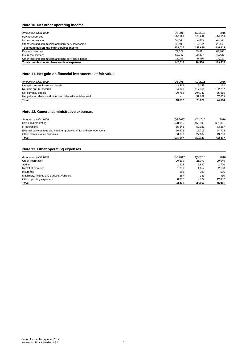## **Note 10. Net other operating income**

| Amounts in NOK 1000                                 | Q3 2017 | Q3 2016 | 2016    |
|-----------------------------------------------------|---------|---------|---------|
| Payment services                                    | 180.491 | 124.828 | 170,128 |
| Insurance services                                  | 56.048  | 34.895  | 47.343  |
| Other fees and commission and bank services income  | 42.496  | 24.122  | 29.142  |
| Total commission and bank services income           | 279.035 | 183.845 | 246.613 |
| Payment services                                    | 77.527  | 39.611  | 62.968  |
| Insurance services                                  | 53.947  | 29.207  | 42.427  |
| Other fees and commission and bank services expense | 16.043  | 9.750   | 14.020  |
| Total commission and bank services expenses         | 147.517 | 78.568  | 119.415 |

## **Note 11. Net gain on financial instruments at fair value**

| Amounts in NOK 1000                                          | Q3 2017                  | Q3 2016    | 2016      |
|--------------------------------------------------------------|--------------------------|------------|-----------|
| Net gain on certificates and bonds                           | $-3.364$                 | 8.148      | 112       |
| Net gain on FX-forwards                                      | 34.928                   | 117.561    | 102.207   |
| Net currency effects                                         | $-20.753$                | $-104.743$ | $-85.915$ |
| Net gains on shares and other securities with variable yield | $\overline{\phantom{0}}$ | 57.659     | 57.659    |
| Total                                                        | 10.812                   | 78.626     | 74.064    |

## **Note 12. General administrative expenses**

| Amounts in NOK 1000                                                      | Q3 2017 | Q3 2016 | 2016    |
|--------------------------------------------------------------------------|---------|---------|---------|
| Sales and marketing                                                      | 528.995 | 453.399 | 631.821 |
| IT operations                                                            | 65.346  | 52.021  | 73.257  |
| External services fees and hired temporary staff for ordinary operations | 36.672  | 17.719  | 24.703  |
| Other administrative expenses                                            | 30.033  | 27.007  | 43.706  |
| <b>Total</b>                                                             | 661.047 | 550.146 | 773.487 |

## **Note 13. Other operating expenses**

| Amounts in NOK 1000                        | Q3 2017 | Q3 2016 | 2016   |
|--------------------------------------------|---------|---------|--------|
| Credit information                         | 20,609  | 21.077  | 29,045 |
| Auditor                                    | 1.413   | 2,892   | 2,700  |
| Rental of premises                         | 1.736   | 1.057   | 2,168  |
| Insurance                                  | 389     | 381     | 505    |
| Machinery, fixtures and transport vehicles | 287     | 333     | 410    |
| Other operating expenses                   | 8,997   | 9.822   | 12.082 |
| Total                                      | 33.431  | 35,562  | 46.911 |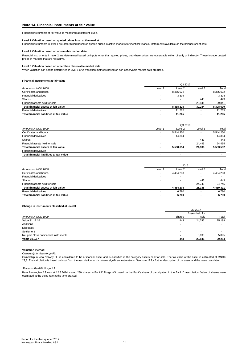## **Note 14. Financial instruments at fair value**

Financial instruments at fair value is measured at different levels.

#### **Level 1 Valuation based on quoted prices in an active market**

Financial instruments in level 1 are determined based on quoted prices in active markets for identical financial instruments available on the balance sheet date.

#### **Level 2 Valuation based on observable market data**

Financial instruments in level 2 are determined based on inputs other than quoted prices, but where prices are observable either directly or indirectly. These include quoted prices in markets that are not active.

#### **Level 3 Valuation based on other than observable market data**

When valuation can not be determined in level 1 or 2, valuation methods based on non-observable market data are used.

#### **Financial instruments at fair value**

|                                           | Q3 2017                  |                          |                          |           |  |
|-------------------------------------------|--------------------------|--------------------------|--------------------------|-----------|--|
| Amounts in NOK 1000                       | Level 1                  | Level 2                  | Level 3                  | Total     |  |
| Certificates and bonds                    |                          | 8,365,022                | -                        | 8,365,022 |  |
| <b>Financial derivatives</b>              |                          | 3,304                    | -                        | 3,304     |  |
| Shares                                    | $\overline{\phantom{0}}$ | $\overline{\phantom{a}}$ | 443                      | 443       |  |
| Financial assets held for sale            |                          | $\overline{\phantom{a}}$ | 29.841                   | 29.841    |  |
| Total financial assets at fair value      |                          | 8.368.325                | 30.284                   | 8,398,609 |  |
| <b>Financial derivatives</b>              |                          | 11.265                   |                          | 11.265    |  |
| Total financial liabilities at fair value |                          | 11.265                   | $\overline{\phantom{0}}$ | 11,265    |  |
|                                           |                          |                          |                          |           |  |

|                                           |         | Q3 2016                  |                          |           |  |
|-------------------------------------------|---------|--------------------------|--------------------------|-----------|--|
| Amounts in NOK 1000                       | Level 1 | Level 2                  | Level 3                  | Total     |  |
| Certificates and bonds                    |         | 5.544.250                | $\overline{\phantom{a}}$ | 5,544,250 |  |
| <b>Financial derivatives</b>              |         | 14.364                   | $\overline{\phantom{0}}$ | 14.364    |  |
| <b>Shares</b>                             |         | $\overline{\phantom{a}}$ | 443                      | 443       |  |
| Financial assets held for sale            |         | $\overline{\phantom{a}}$ | 24.495                   | 24,495    |  |
| Total financial assets at fair value      |         | 5.558.614                | 24.938                   | 5,583,552 |  |
| <b>Financial derivatives</b>              |         |                          |                          |           |  |
| Total financial liabilities at fair value |         |                          |                          |           |  |

|                                           | 2016                     |           |                          |           |
|-------------------------------------------|--------------------------|-----------|--------------------------|-----------|
| Amounts in NOK 1000                       | Level 1                  | Level 2   | Level 3                  | Total     |
| Certificates and bonds                    | $\overline{\phantom{a}}$ | 4.464.203 | $\overline{\phantom{a}}$ | 4,464,203 |
| <b>Financial derivatives</b>              |                          |           | -                        |           |
| Shares                                    |                          |           | 443                      | 443       |
| Financial assets held for sale            |                          | -         | 24.745                   | 24.745    |
| Total financial assets at fair value      |                          | 4.464.203 | 25.188                   | 4,489,391 |
| <b>Financial derivatives</b>              |                          | 6.780     |                          | 6,780     |
| Total financial liabilities at fair value |                          | 6.780     | $\blacksquare$           | 6.780     |

#### **Change in instruments classified at level 3**

| Q3 2017       |                          |                 |  |
|---------------|--------------------------|-----------------|--|
|               |                          |                 |  |
| <b>Shares</b> | sale                     | Total           |  |
| 443           | 24,745                   | 25,188          |  |
| ۰             | $\overline{\phantom{a}}$ |                 |  |
|               | -                        |                 |  |
|               | ۰                        |                 |  |
|               | 5.095                    | 5,095           |  |
| 443           | 29,841                   | 30,284          |  |
|               |                          | Assets held for |  |

#### **Valuation method**

*Ownership in Visa Norge FLI*

Ownership in Visa Norway FLI is considered to be a financial asset and is classified in the category assets held for sale. The fair value of the asset is estimated at MNOK<br>29,8. The calculation is based on input from the a

#### *Shares in BankID Norge AS*

Bank Norwegian AS was at 12.8.2014 issued 280 shares in BankID Norge AS based on the Bank's share of participation in the BankID association. Value of shares were estimated at the going rate at the time granted.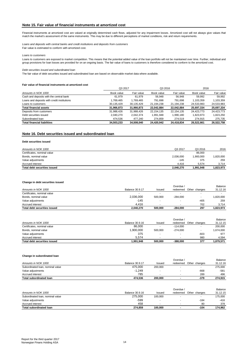## **Note 15. Fair value of financial instruments at amortized cost**

Financial instruments at amortized cost are valued at originally determined cash flows, adjusted for any impairment losses. Amortized cost will not always give values that match the market's assessment of the same instruments. This may be due to different perceptions of market conditions, risk and return requirements.

*Loans and deposits with central banks and credit institutions and deposits from customers* Fair value is estimated to conform with amortized cost.

*Loans to customers*

Loans to customers are exposed to market competition. This means that the potential added value of the loan portfolio will not be maintained over time. Further, individual and group provisions for loan losses are provided for on an ongoing basis. The fair value of loans to customers is therefore considered to conform to the amortized cost.

*Debt securities issued and subordinated loan*

The fair value of debt securities issued and subordinated loan are based on observable market data where available.

#### **Fair value of financial instruments at amortized cost**

|                                             | Q3 2017    |            | Q3 2016      |              | 2016       |            |
|---------------------------------------------|------------|------------|--------------|--------------|------------|------------|
| Amounts in NOK 1000                         | Book value | Fair value | Book value   | Fair value   | Book value | Fair value |
| Cash and deposits with the central bank     | 61.979     | 61.979     | 56.948       | 56,948       | 59,992     | 59,992     |
| Loans and deposits with credit institutions | 1,769,465  | 1,769,465  | 791.698      | 791.698      | 1.103.359  | 1,103,359  |
| Loans to customers                          | 30,135,429 | 30,135,429 | 21,194,238   | 21,194,238   | 24,533,983 | 24,533,983 |
| <b>Total financial assets</b>               | 31,966,873 | 31,966,873 | 22,042,884   | 22,042,884   | 25,697,334 | 25,697,334 |
| Deposits from customers                     | 31,988,426 | 31,988,426 | 22, 154, 135 | 22, 154, 135 | 24.423.773 | 24,423,773 |
| Debt securities issued                      | 2,040,270  | 2,042,374  | 1,991,948    | 1,990,180    | 1,823,973  | 1,823,250  |
| Subordinated Ioan                           | 474.536    | 477.240    | 274,859      | 274.519      | 274.915    | 275,735    |
| <b>Total financial liabilities</b>          | 34,503,233 | 34.508.040 | 24,420,942   | 24.418.834   | 26.522.661 | 26,522,758 |

### **Note 16. Debt securities issued and subordinated loan**

### **Debt securities issued**

| Amounts in NOK 1000          | Q3 2017   | Q3 2016   | 2016      |
|------------------------------|-----------|-----------|-----------|
| Certificates, nominal value  | ۰         | 86,000    |           |
| Bonds, nominal value         | 2,036,000 | 900.000   | 820,000   |
| Value adjustments            | $-145$    | 375       | 259       |
| Accrued interest             | 4.416     | 5.574     | 3.714     |
| Total debt securities issued | 2.040.270 | 1.991.948 | 1,823,973 |

### **Change in debt securities issued**

|                              |                        |         | Overdue /  |               | Balance   |
|------------------------------|------------------------|---------|------------|---------------|-----------|
| Amounts in NOK 1000          | <b>Balance 30.9.17</b> | Issued  | redeemed   | Other changes | 31.12.16  |
| Certificates, nominal value  |                        | -       |            |               |           |
| Bonds, nominal value         | 2,036,000              | 500.000 | $-284.000$ |               | ,820,000  |
| Value adjustments            | -145                   | . .     | -          | $-405$        | 259       |
| Accrued interest             | 4.416                  |         |            | 702           | 3.714     |
| Total debt securities issued | 2,040,270              | 500.000 | $-284.000$ | 297           | 1.823.973 |

| Total debt securities issued | 1.991.948       | 500.000                  | $-388.000$ | 377                      | 1.879.571 |
|------------------------------|-----------------|--------------------------|------------|--------------------------|-----------|
| Accrued interest             | 5.574           |                          |            | 980                      | 4.594     |
| Value adjustments            | 375             |                          | -          | $-603$                   | 977       |
| Bonds, nominal value         | 1.900.000       | 500.000                  | $-274.000$ |                          | 674,000   |
| Certificates, nominal value  | 86.000          | $\overline{\phantom{a}}$ | $-114.000$ | $\overline{\phantom{a}}$ | 200,000   |
| Amounts in NOK 1000          | Balance 30.9.16 | Issued                   | redeemed   | Other changes            | 31.12.15  |
|                              |                 |                          | Overdue /  |                          | Balance   |

#### **Change in subordinated loan**

| Accrued interest<br>Total subordinated loan | 785<br>474.536  | <br>200,000 |           | 289<br>$-379$ | 496<br>274.915 |
|---------------------------------------------|-----------------|-------------|-----------|---------------|----------------|
| Value adjustments                           | $-1.249$        |             |           | $-668$        | $-581$         |
| Subordinated Ioan, nominal value            | 475.000         | 200.000     |           |               | 275.000        |
|                                             |                 |             |           |               |                |
| Amounts in NOK 1000                         | Balance 30.9.17 | Issued      | redeemed  | Other changes | 31.12.16       |
|                                             |                 |             | Overdue / |               | Balance        |

|                                  |                 |         | Overdue / |               | Balance  |
|----------------------------------|-----------------|---------|-----------|---------------|----------|
| Amounts in NOK 1000              | Balance 30.9.16 | Issued  | redeemed  | Other changes | 31.12.15 |
| Subordinated Ioan, nominal value | 275.000         | 100.000 |           | -             | 175.000  |
| Value adiustments                | $-599$          | -       |           | $-184$        | -416     |
| Accrued interest                 | 458             |         |           | 80            | 378      |
| <b>Total subordinated loan</b>   | 274.859         | 100.000 |           | $-104$        | 174.962  |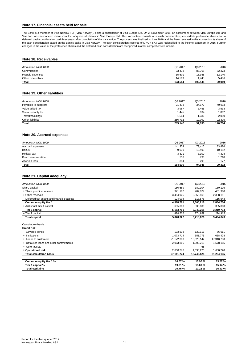## **Note 17. Financial assets held for sale**

The Bank is a member of Visa Norway FLI ("Visa Norway"), being a shareholder of Visa Europe Ltd. On 2. November 2015, an agreement between Visa Europe Ltd. and Visa Inc. was announced where Visa Inc. acquires all shares in Visa Europe Ltd. This transaction consists of a cash consideration, convertible preference shares and a<br>deferred cash consideration paid three years after comp the cash consideration based on the Bank's stake in Visa Norway. The cash consideration received of MNOK 57.7 was reclassified to the income statement in 2016. Further<br>changes in the value of the preference shares and the

### **Note 18. Receivables**

| Amounts in NOK 1000 | Q3 2017 | Q3 2016 | 2016   |
|---------------------|---------|---------|--------|
| Commissions         | 93.473  | 83,765  | 82,373 |
| Prepaid expenses    | 15,601  | 16.938  | 12,140 |
| Other receivables   | 14.509  | .745    | 5.406  |
| <b>Total</b>        | 123.584 | 102.448 | 99,919 |

### **Note 19. Other liabilities**

| Amounts in NOK 1000   | Q3 2017 | Q3 2016 | 2016    |
|-----------------------|---------|---------|---------|
| Payables to suppliers | 21,413  | 34,177  | 40,903  |
| Value added tax       | 3,987   | 3,455   | 3,533   |
| Social security tax   | 1,445   | 934     | .862    |
| Tax withholdings      | 1.504   | 1,336   | 2,090   |
| Other liabilities     | 256.792 | 12.092  | 92,375  |
| Total                 | 285.142 | 51,995  | 140,764 |

### **Note 20. Accrued expenses**

| Amounts in NOK 1000 | Q3 2017 | Q3 2016 | 2016   |
|---------------------|---------|---------|--------|
| Accrued expenses    | 141,374 | 79.415  | 83,426 |
| <b>Bonus</b>        | 9,039   | 10.498  | 10,152 |
| Holiday pay         | 3,311   | 3,100   | 4,328  |
| Board remuneration  | 558     | 738     | 1,218  |
| Accrued fees        | 354     | 298     | 177    |
| Total               |         |         |        |
|                     | 154,636 | 94,048  | 99,302 |

### **Note 21. Capital adequacy**

| Amounts in NOK 1000                         | Q3 2017   | Q3 2016   | 2016      |
|---------------------------------------------|-----------|-----------|-----------|
| Share capital                               | 186,689   | 180.104   | 180,105   |
| + Share premium reserve                     | 971.182   | 482.827   | 481.980   |
| + Other reserves                            | 3,484,925 | 2,055,865 | 2,338,191 |
| - Deferred tax assets and intangible assets | 124.004   | 113.578   | 115.543   |
| Common equity tier 1                        | 4,518,791 | 2,605,218 | 2,884,734 |
| + Additional Tier 1 capital                 | 635,000   | 335,000   | 335,000   |
| Tier 1 capital                              | 5,153,791 | 2.940.218 | 3,219,734 |
| + Tier 2 capital                            | 474,536   | 274,859   | 274.915   |
| <b>Total capital</b>                        | 5,628,327 | 3,215,076 | 3,494,649 |
|                                             |           |           |           |

**Calculation basis** 

| <b>Credit risk</b>                      |            |            |            |
|-----------------------------------------|------------|------------|------------|
| Covered bonds                           | 193.538    | 129.111    | 76.611     |
| + Institutions                          | 1,073,714  | 651.775    | 668,408    |
| + Loans to customers                    | 21,172,380 | 15.020.142 | 17,310,780 |
| + Defaulted loans and other commitments | 2,063,866  | 1,309,215  | 1,578,115  |
| + Other assets                          | -          | 65         |            |
| + Operational risk                      | 2,608,276  | 1,630,220  | 1,630,220  |
| <b>Total calculation basis</b>          | 27,111,774 | 18,740,528 | 21,264,135 |
| Common equity tier 1 %                  | 16.67 %    | 13.90 %    | 13.57%     |
| Tier 1 capital %                        | 19.01 %    | 15.69%     | 15.14 %    |
| Total capital %                         | 20.76 %    | 17.16 %    | 16.43%     |
|                                         |            |            |            |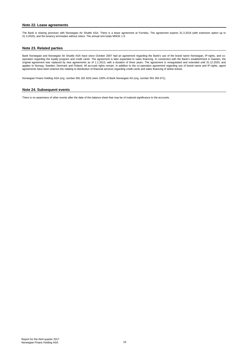### **Note 22. Lease agreements**

The Bank is sharing premises with Norwegian Air Shuttle ASA. There is a lease agreement at Fornebu. The agreement expires 31.3.2018 (with extension option up to 31.3.2020), and the tenancy terminates without notice. The annual rent totals MNOK 1.9.

### **Note 23. Related parties**

Bank Norwegian and Norwegian Air Shuttle ASA have since October 2007 had an agreement regarding the Bank's use of the brand name Norwegian, IP-rights, and cooperation regarding the loyalty program and credit cards. The agreement is later expanded to sales financing. In connection with the Bank's establishment in Sweden, the original agreement was replaced by new agreements as of 1.1.2013, with a duration of three years. The agreement is renegotiated and extended until 31.12.2020, and applies to Norway, Sweden, Denmark and Finland. All accrued rights remain. In addition to the co-operation agreement regarding use of brand name and IP-rights, agent agreements have been entered into relating to distribution of financial services regarding credit cards and sales financing of airline tickets.

Norwegian Finans Holding ASA (org. number 991 281 924) owns 100% of Bank Norwegian AS (org. number 991 455 671).

### **Note 24. Subsequent events**

There is no awareness of other events after the date of the balance sheet that may be of material significance to the accounts.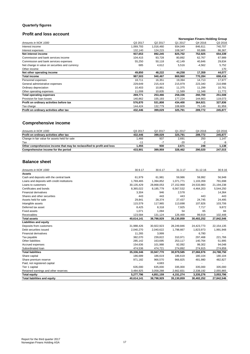## **Quarterly figures**

# **Profit and loss account**

|                                                |           |           | Norwegian Finans Holding Group |          |         |
|------------------------------------------------|-----------|-----------|--------------------------------|----------|---------|
| Amounts in NOK 1000                            | Q3 2017   | Q2 2017   | Q1 2017                        | Q4 2016  | Q3 2016 |
| Interest income                                | 1,069,793 | 1,016,460 | 934,049                        | 846,611  | 740,707 |
| Interest expenses                              | 132,140   | 124,215   | 108,347                        | 93,686   | 86,367  |
| Net interest income                            | 937,653   | 892,245   | 825,702                        | 752,925  | 654,339 |
| Commission and bank services income            | 104,415   | 93,728    | 80,892                         | 62,767   | 67,989  |
| Commission and bank services expenses          | 55,250    | 50,118    | 42,149                         | 40,846   | 29,834  |
| Net change in value on securities and currency | 685       | 4,612     | 5,516                          | $-4,562$ | 5,752   |
| Other income                                   |           |           |                                |          | 170     |
| Net other operating income                     | 49,850    | 48,222    | 44,258                         | 17,359   | 44,077  |
| <b>Total income</b>                            | 987,503   | 940,467   | 869,960                        | 770,284  | 698,416 |
| Personnel expenses                             | 18,711    | 16,351    | 19,394                         | 14.713   | 17,977  |
| General administrative expenses                | 229,649   | 215,419   | 215,979                        | 223,340  | 210,998 |
| Ordinary depreciation                          | 10,403    | 10,861    | 11,375                         | 11,299   | 10,761  |
| Other operating expenses                       | 11,008    | 10,835    | 11,589                         | 11,348   | 11,772  |
| <b>Total operating expenses</b>                | 269,771   | 253,466   | 258,336                        | 260,700  | 251,508 |
| Provision for loan losses                      | 140,862   | 155,193   | 177,224                        | 144,663  | 119,073 |
| Profit on ordinary activities before tax       | 576,870   | 531,808   | 434,400                        | 364,921  | 327,836 |
| Tax charge                                     | 144,424   | 132,779   | 108,609                        | 75,149   | 81,959  |
| Profit on ordinary activities after tax        | 432,446   | 399,029   | 325,791                        | 289,772  | 245,877 |

## **Comprehensive income**

| Amounts in NOK 1000                                                    | Q3 2017            | Q <sub>2</sub> 2017 | Q1 2017 | Q4 2016 | Q3 2016 |
|------------------------------------------------------------------------|--------------------|---------------------|---------|---------|---------|
| Profit on ordinary activities after tax                                | 432.446            | 399.029             | 325.791 | 289.772 | 245.877 |
| Change in fair value for assets held for sale                          | 1.466              | 937                 | 2.691   | 250     | 1.147   |
| Tax                                                                    | $-11$ <sup>4</sup> |                     | $-20$   | - 4     | -9      |
| Other comprehensive income that may be reclassified to profit and loss | 1.455              | 930                 | 2.671   | 248     | 1.138   |
| Comprehensive income for the period                                    | 433.901            | 399.959             | 328.462 | 290.020 | 247.015 |

## **Balance sheet**

| Amounts in NOK 1000                         | 30.9.17    | 30.6.17    | 31.3.17    | 31.12.16   | 30.9.16      |
|---------------------------------------------|------------|------------|------------|------------|--------------|
| <b>Assets</b>                               |            |            |            |            |              |
| Cash and deposits with the central bank     | 61,979     | 61,981     | 59,986     | 59,992     | 56,948       |
| Loans and deposits with credit institutions | 1,769,465  | 1,394,852  | 1,071,771  | 1,103,359  | 791,698      |
| Loans to customers                          | 30,135,429 | 28,868,053 | 27,152,968 | 24,533,983 | 21,194,238   |
| Certificates and bonds                      | 8,365,022  | 8,185,779  | 6,567,532  | 4,464,203  | 5,544,250    |
| <b>Financial derivatives</b>                | 3,304      | 946        | 2,578      |            | 14,364       |
| Shares and other securities                 | 443        | 443        | 443        | 443        | 443          |
| Assets held for sale                        | 29,841     | 28,374     | 27,437     | 24,745     | 24,495       |
| Intangible assets                           | 115,579    | 117,965    | 113,698    | 107,826    | 103,706      |
| Deferred tax asset                          | 8,425      | 8,318      | 7,925      | 7,717      | 9,872        |
| <b>Fixed assets</b>                         | 1,071      | 1,094      | 54         | 65         | 84           |
| Receivables                                 | 123,584    | 131,124    | 126,469    | 99,919     | 102,448      |
| <b>Total assets</b>                         | 40,614,141 | 38,798,929 | 35,130,859 | 30,402,252 | 27,842,546   |
| <b>Liabilities and equity</b>               |            |            |            |            |              |
| Deposits from customers                     | 31,988,426 | 30,922,923 | 28,249,846 | 24,423,773 | 22, 154, 135 |
| Debt securities issued                      | 2,040,270  | 2,040,622  | 1,798,667  | 1,823,973  | 1,991,948    |
| <b>Financial derivatives</b>                | 11,265     | 3,999      |            | 6,780      |              |
| Tax payable                                 | 382,070    | 239,822    | 310,971    | 297,468    | 221,766      |
| Other liabilities                           | 285,142    | 163,695    | 253,117    | 140,764    | 51,995       |
| Accrued expenses                            | 154,636    | 101,988    | 92,092     | 99,302     | 94,048       |
| Subordinated Ioan                           | 474,536    | 474,721    | 274,892    | 274,915    | 274,859      |
| <b>Total liabilities</b>                    | 35,336,346 | 33,947,770 | 30,979,585 | 27,066,976 | 24,788,750   |
| Share capital                               | 186,689    | 186,619    | 186,619    | 180,104    | 180,104      |
| Share premium reserve                       | 971,182    | 966,570    | 966,825    | 481,980    | 482,827      |
| Paid, not registered capital                |            | 4,683      |            |            |              |
| Tier 1 capital                              | 635,000    | 635,000    | 335,000    | 335,000    | 335,000      |
| Retained earnings and other reserves        | 3,484,925  | 3,058,288  | 2,662,831  | 2,338,192  | 2,055,865    |
| <b>Total equity</b>                         | 5,277,796  | 4,851,159  | 4,151,274  | 3,335,276  | 3,053,796    |
| <b>Total liabilities and equity</b>         | 40,614,141 | 38,798,929 | 35,130,859 | 30,402,252 | 27,842,546   |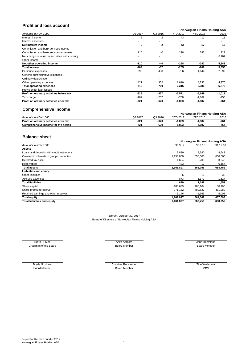# **Profit and loss account**

|                                                |              |              | Norwegian Finans Holding ASA |                 |          |
|------------------------------------------------|--------------|--------------|------------------------------|-----------------|----------|
| Amounts in NOK 1000                            | Q3 2017      | Q3 2016      | <b>YTD 2017</b>              | <b>YTD 2016</b> | 2016     |
| Interest income                                | 2            | 2            | 43                           | 12              | 15       |
| Interest expenses                              |              |              |                              |                 |          |
| Net interest income                            | $\mathbf{2}$ | $\mathbf{2}$ | 43                           | 12              | 15       |
| Commission and bank services income            |              |              |                              |                 |          |
| Commission and bank services expenses          | 110          | 40           | 298                          | 282             | 323      |
| Net change in value on securities and currency |              |              |                              |                 | 6,164    |
| Other income                                   |              | ٠            |                              |                 |          |
| Net other operating income                     | $-110$       | -40          | $-298$                       | $-282$          | 5,841    |
| <b>Total income</b>                            | -109         | -37          | $-255$                       | $-269$          | 5,856    |
| Personnel expenses                             | 298          | 438          | 706                          | 1,644           | 2,099    |
| General administrative expenses                |              |              |                              |                 |          |
| Ordinary depreciation                          |              |              |                              |                 |          |
| Other operating expenses                       | 421          | 352          | 1,610                        | 4,736           | 4,775    |
| <b>Total operating expenses</b>                | 719          | 790          | 2,316                        | 6,380           | 6,875    |
| Provision for loan losses                      |              |              |                              |                 |          |
| Profit on ordinary activities before tax       | -828         | $-827$       | $-2,571$                     | $-6,649$        | $-1,019$ |
| Tax charge                                     | $-107$       | $-207$       | $-708$                       | $-1,662$        | $-255$   |
| Profit on ordinary activities after tax        | $-721$       | -620         | $-1,863$                     | $-4,987$        | -764     |

## **Comprehensive income**

|                                         |         |         |          | Norwegian Finans Holding ASA |      |
|-----------------------------------------|---------|---------|----------|------------------------------|------|
| Amounts in NOK 1000                     | Q3 2017 | Q3 2016 | YTD 201  | <b>YTD 2016</b>              | 2016 |
| Profit on ordinary activities after tax | $-721$  | $-620$  | $-1.863$ | $-4.98$                      | -764 |
| Comprehensive income for the period     | $-721$  | -620    | $-1.863$ | $-4.98$                      | -764 |

## **Balance sheet**

|                                             |           |          | Norwegian Finans Holding ASA |  |
|---------------------------------------------|-----------|----------|------------------------------|--|
| Amounts in NOK 1000                         | 30.9.17   | 30.9.16  | 31.12.16                     |  |
| <b>Assets</b>                               |           |          |                              |  |
| Loans and deposits with credit institutions | 6.820     | 9,540    | 8,643                        |  |
| Ownership interests in group companies      | 1,150,000 | 650.000  | 650,000                      |  |
| Deferred tax asset                          | 4.654     | 3,203    | 3,946                        |  |
| Receivables                                 | 423       | 12       | 6,164                        |  |
| <b>Total assets</b>                         | 1,161,897 | 662,756  | 668,752                      |  |
| <b>Liabilities and equity</b>               |           |          |                              |  |
| Other liabilities                           | 6         | 16       | 32                           |  |
| Accrued expenses                            | 873       | 1,172    | 1,627                        |  |
| <b>Total liabilities</b>                    | 879       | 1,188    | 1,659                        |  |
| Share capital                               | 186,689   | 180,104  | 180,105                      |  |
| Share premium reserve                       | 971.182   | 482.827  | 481,980                      |  |
| Retained earnings and other reserves        | 3,146     | $-1,363$ | 5,008                        |  |
| <b>Total equity</b>                         | 1,161,017 | 661,567  | 667,093                      |  |
| <b>Total liabilities and equity</b>         | 1,161,897 | 662,756  | 668,752                      |  |
|                                             |           |          |                              |  |

Bærum, October 30, 2017 Board of Directors of Norwegian Finans Holding ASA

Bjørn H. Kise Sommer var det annes Anita Aarnæs John Høsteland (Stelland annes Anita Aarnæs John Høsteland 199 Chairman of the Board Board Member Board Member

Board Member CEO Board Member Brede G. Huser Christian Christian Rødsæther Christian Rødsæther Tine Wollebekk Board Member CEO